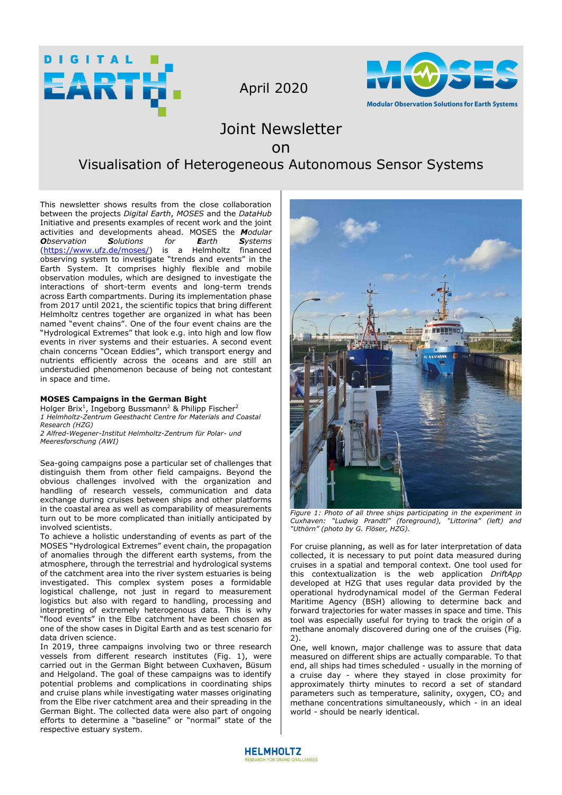

April 2020



# Joint Newsletter

## on

# Visualisation of Heterogeneous Autonomous Sensor Systems

This newsletter shows results from the close collaboration between the projects *Digital Earth*, *MOSES* and the *DataHub* Initiative and presents examples of recent work and the joint activities and developments ahead. MOSES the *Modular*   $O$ *bservation* [\(https://www.ufz.de/moses/\)](https://www.ufz.de/moses/) is a Helmholtz financed observing system to investigate "trends and events" in the Earth System. It comprises highly flexible and mobile observation modules, which are designed to investigate the interactions of short-term events and long-term trends across Earth compartments. During its implementation phase from 2017 until 2021, the scientific topics that bring different Helmholtz centres together are organized in what has been named "event chains". One of the four event chains are the "Hydrological Extremes" that look e.g. into high and low flow events in river systems and their estuaries. A second event chain concerns "Ocean Eddies", which transport energy and nutrients efficiently across the oceans and are still an understudied phenomenon because of being not contestant in space and time.

## **MOSES Campaigns in the German Bight**

Holger Brix<sup>1</sup>, Ingeborg Bussmann<sup>2</sup> & Philipp Fischer<sup>2</sup> *1 Helmholtz-Zentrum Geesthacht Centre for Materials and Coastal Research (HZG) 2 Alfred-Wegener-Institut Helmholtz-Zentrum für Polar- und Meeresforschung (AWI)* 

Sea-going campaigns pose a particular set of challenges that distinguish them from other field campaigns. Beyond the obvious challenges involved with the organization and handling of research vessels, communication and data exchange during cruises between ships and other platforms in the coastal area as well as comparability of measurements turn out to be more complicated than initially anticipated by involved scientists.

To achieve a holistic understanding of events as part of the MOSES "Hydrological Extremes" event chain, the propagation of anomalies through the different earth systems, from the atmosphere, through the terrestrial and hydrological systems of the catchment area into the river system estuaries is being investigated. This complex system poses a formidable logistical challenge, not just in regard to measurement logistics but also with regard to handling, processing and interpreting of extremely heterogenous data. This is why "flood events" in the Elbe catchment have been chosen as one of the show cases in Digital Earth and as test scenario for data driven science.

In 2019, three campaigns involving two or three research vessels from different research institutes (Fig. 1), were carried out in the German Bight between Cuxhaven, Büsum and Helgoland. The goal of these campaigns was to identify potential problems and complications in coordinating ships and cruise plans while investigating water masses originating from the Elbe river catchment area and their spreading in the German Bight. The collected data were also part of ongoing efforts to determine a "baseline" or "normal" state of the respective estuary system.



*Figure 1: Photo of all three ships participating in the experiment in Cuxhaven: "Ludwig Prandtl" (foreground), "Littorina" (left) and "Uthörn" (photo by G. Flöser, HZG).*

For cruise planning, as well as for later interpretation of data collected, it is necessary to put point data measured during cruises in a spatial and temporal context. One tool used for this contextualization is the web application *DriftApp* developed at HZG that uses regular data provided by the operational hydrodynamical model of the German Federal Maritime Agency (BSH) allowing to determine back and forward trajectories for water masses in space and time. This tool was especially useful for trying to track the origin of a methane anomaly discovered during one of the cruises (Fig. 2).

One, well known, major challenge was to assure that data measured on different ships are actually comparable. To that end, all ships had times scheduled - usually in the morning of a cruise day - where they stayed in close proximity for approximately thirty minutes to record a set of standard parameters such as temperature, salinity, oxygen, CO<sub>2</sub> and methane concentrations simultaneously, which - in an ideal world - should be nearly identical.

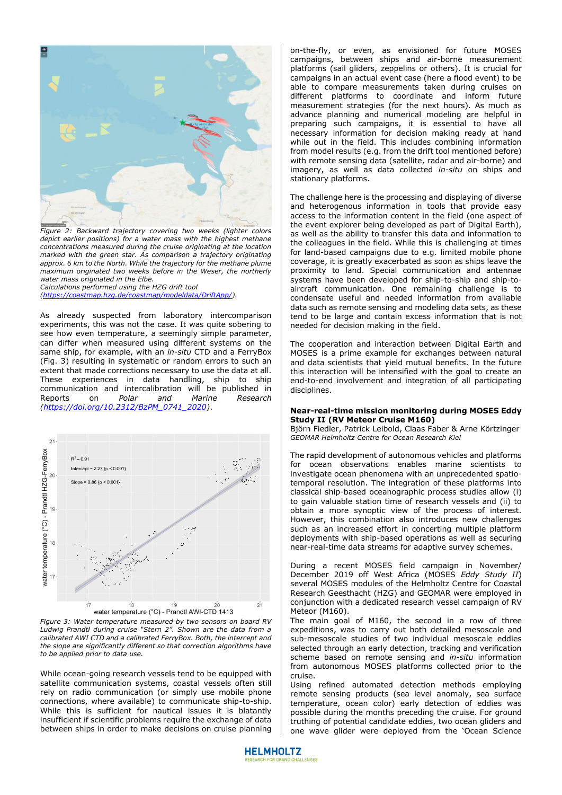

*Figure 2: Backward trajectory covering two weeks (lighter colors depict earlier positions) for a water mass with the highest methane concentrations measured during the cruise originating at the location marked with the green star. As comparison a trajectory originating approx. 6 km to the North. While the trajectory for the methane plume maximum originated two weeks before in the Weser, the northerly water mass originated in the Elbe.* 

*Calculations performed using the HZG drift tool [\(https://coastmap.hzg.de/coastmap/modeldata/DriftApp/\)](https://coastmap.hzg.de/coastmap/modeldata/DriftApp/).*

As already suspected from laboratory intercomparison experiments, this was not the case. It was quite sobering to see how even temperature, a seemingly simple parameter, can differ when measured using different systems on the same ship, for example, with an *in-situ* CTD and a FerryBox (Fig. 3) resulting in systematic or random errors to such an extent that made corrections necessary to use the data at all. These experiences in data handling, ship to ship communication and intercalibration will be published in<br>Reports on Polar and Marine Research Reports on *Polar and Marine Research [\(https://doi.org/10.2312/BzPM\\_0741\\_2020\)](https://doi.org/10.2312/BzPM_0741_2020)*.



*Figure 3: Water temperature measured by two sensors on board RV Ludwig Prandtl during cruise "Stern 2". Shown are the data from a calibrated AWI CTD and a calibrated FerryBox. Both, the intercept and the slope are significantly different so that correction algorithms have to be applied prior to data use.* 

While ocean-going research vessels tend to be equipped with satellite communication systems, coastal vessels often still rely on radio communication (or simply use mobile phone connections, where available) to communicate ship-to-ship. While this is sufficient for nautical issues it is blatantly insufficient if scientific problems require the exchange of data between ships in order to make decisions on cruise planning

on-the-fly, or even, as envisioned for future MOSES campaigns, between ships and air-borne measurement platforms (sail gliders, zeppelins or others). It is crucial for campaigns in an actual event case (here a flood event) to be able to compare measurements taken during cruises on different platforms to coordinate and inform future measurement strategies (for the next hours). As much as advance planning and numerical modeling are helpful in preparing such campaigns, it is essential to have all necessary information for decision making ready at hand while out in the field. This includes combining information from model results (e.g. from the drift tool mentioned before) with remote sensing data (satellite, radar and air-borne) and imagery, as well as data collected *in-situ* on ships and stationary platforms.

The challenge here is the processing and displaying of diverse and heterogenous information in tools that provide easy access to the information content in the field (one aspect of the event explorer being developed as part of Digital Earth), as well as the ability to transfer this data and information to the colleagues in the field. While this is challenging at times for land-based campaigns due to e.g. limited mobile phone coverage, it is greatly exacerbated as soon as ships leave the proximity to land. Special communication and antennae systems have been developed for ship-to-ship and ship-toaircraft communication. One remaining challenge is to condensate useful and needed information from available data such as remote sensing and modeling data sets, as these tend to be large and contain excess information that is not needed for decision making in the field.

The cooperation and interaction between Digital Earth and MOSES is a prime example for exchanges between natural and data scientists that yield mutual benefits. In the future this interaction will be intensified with the goal to create an end-to-end involvement and integration of all participating disciplines.

### **Near-real-time mission monitoring during MOSES Eddy Study II (RV Meteor Cruise M160)**

Björn Fiedler, Patrick Leibold, Claas Faber & Arne Körtzinger *GEOMAR Helmholtz Centre for Ocean Research Kiel* 

The rapid development of autonomous vehicles and platforms for ocean observations enables marine scientists to investigate ocean phenomena with an unprecedented spatiotemporal resolution. The integration of these platforms into classical ship-based oceanographic process studies allow (i) to gain valuable station time of research vessels and (ii) to obtain a more synoptic view of the process of interest. However, this combination also introduces new challenges such as an increased effort in concerting multiple platform deployments with ship-based operations as well as securing near-real-time data streams for adaptive survey schemes.

During a recent MOSES field campaign in November/ December 2019 off West Africa (MOSES *Eddy Study II*) several MOSES modules of the Helmholtz Centre for Coastal Research Geesthacht (HZG) and GEOMAR were employed in conjunction with a dedicated research vessel campaign of RV Meteor (M160).

The main goal of M160, the second in a row of three expeditions, was to carry out both detailed mesoscale and sub-mesoscale studies of two individual mesoscale eddies selected through an early detection, tracking and verification scheme based on remote sensing and *in-situ* information from autonomous MOSES platforms collected prior to the cruise.

Using refined automated detection methods employing remote sensing products (sea level anomaly, sea surface temperature, ocean color) early detection of eddies was possible during the months preceding the cruise. For ground truthing of potential candidate eddies, two ocean gliders and one wave glider were deployed from the 'Ocean Science

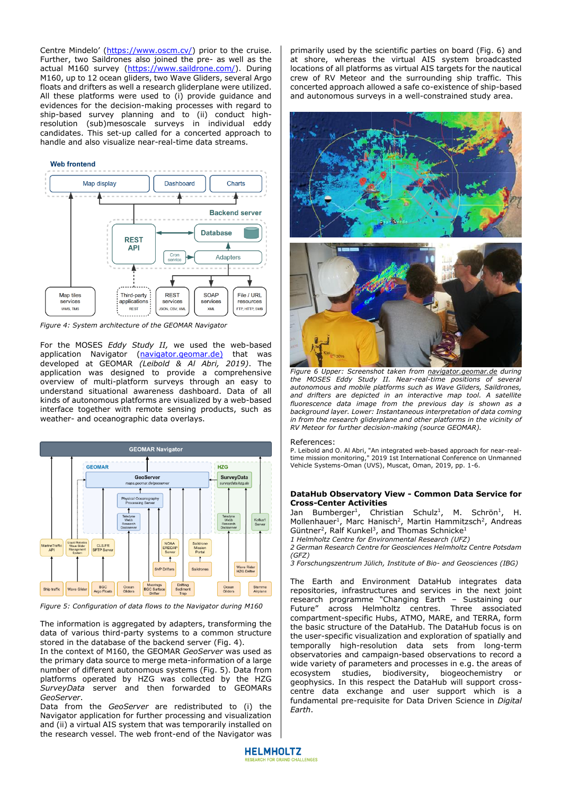Centre Mindelo' ([https://www.oscm.cv/\)](https://www.oscm.cv/) prior to the cruise. Further, two Saildrones also joined the pre- as well as the actual M160 survey [\(https://www.saildrone.com/\)](https://www.saildrone.com/). During M160, up to 12 ocean gliders, two Wave Gliders, several Argo floats and drifters as well a research gliderplane were utilized. All these platforms were used to (i) provide guidance and evidences for the decision-making processes with regard to ship-based survey planning and to (ii) conduct highresolution (sub)mesoscale surveys in individual eddy candidates. This set-up called for a concerted approach to handle and also visualize near-real-time data streams.



*Figure 4: System architecture of the GEOMAR Navigator* 

For the MOSES *Eddy Study II,* we used the web-based application Navigator [\(navigator.geomar.de\)](https://navigator.geomar.de/) that was developed at GEOMAR *(Leibold & Al Abri, 2019)*. The application was designed to provide a comprehensive overview of multi-platform surveys through an easy to understand situational awareness dashboard. Data of all kinds of autonomous platforms are visualized by a web-based interface together with remote sensing products, such as weather- and oceanographic data overlays.



*Figure 5: Configuration of data flows to the Navigator during M160*

The information is aggregated by adapters, transforming the data of various third-party systems to a common structure stored in the database of the backend server (Fig. 4).

In the context of M160, the GEOMAR *GeoServer* was used as the primary data source to merge meta-information of a large number of different autonomous systems (Fig. 5). Data from platforms operated by HZG was collected by the HZG *SurveyData* server and then forwarded to GEOMARs *GeoServer*.

Data from the *GeoServer* are redistributed to (i) the Navigator application for further processing and visualization and (ii) a virtual AIS system that was temporarily installed on the research vessel. The web front-end of the Navigator was

primarily used by the scientific parties on board (Fig. 6) and at shore, whereas the virtual AIS system broadcasted locations of all platforms as virtual AIS targets for the nautical crew of RV Meteor and the surrounding ship traffic. This concerted approach allowed a safe co-existence of ship-based and autonomous surveys in a well-constrained study area.



*Figure 6 Upper: Screenshot taken from [navigator.geomar.de](http://www.navigator.geomar.de/) during the MOSES Eddy Study II. Near-real-time positions of several autonomous and mobile platforms such as Wave Gliders, Saildrones, and drifters are depicted in an interactive map tool. A satellite fluorescence data image from the previous day is shown as a background layer. Lower: Instantaneous interpretation of data coming in from the research gliderplane and other platforms in the vicinity of RV Meteor for further decision-making (source GEOMAR).*

#### References:

P. Leibold and O. Al Abri, "An integrated web-based approach for near-realtime mission monitoring," 2019 1st International Conference on Unmanned Vehicle Systems-Oman (UVS), Muscat, Oman, 2019, pp. 1-6.

### **DataHub Observatory View - Common Data Service for Cross-Center Activities**

Jan Bumberger<sup>1</sup>, Christian Schulz<sup>1</sup>, M. Schrön<sup>1</sup>, H. Mollenhauer<sup>1</sup>, Marc Hanisch<sup>2</sup>, Martin Hammitzsch<sup>2</sup>, Andreas Güntner<sup>2</sup>, Ralf Kunkel<sup>3</sup>, and Thomas Schnicke<sup>1</sup>

*1 Helmholtz Centre for Environmental Research (UFZ)* 

*2 German Research Centre for Geosciences Helmholtz Centre Potsdam (GFZ)* 

*3 Forschungszentrum Jülich, Institute of Bio- and Geosciences (IBG)* 

The Earth and Environment DataHub integrates data repositories, infrastructures and services in the next joint research programme "Changing Earth – Sustaining our Future" across Helmholtz centres. Three associated compartment-specific Hubs, ATMO, MARE, and TERRA, form the basic structure of the DataHub. The DataHub focus is on the user-specific visualization and exploration of spatially and temporally high-resolution data sets from long-term observatories and campaign-based observations to record a wide variety of parameters and processes in e.g. the areas of ecosystem studies, biodiversity, biogeochemistry or geophysics. In this respect the DataHub will support crosscentre data exchange and user support which is a fundamental pre-requisite for Data Driven Science in *Digital Earth*.